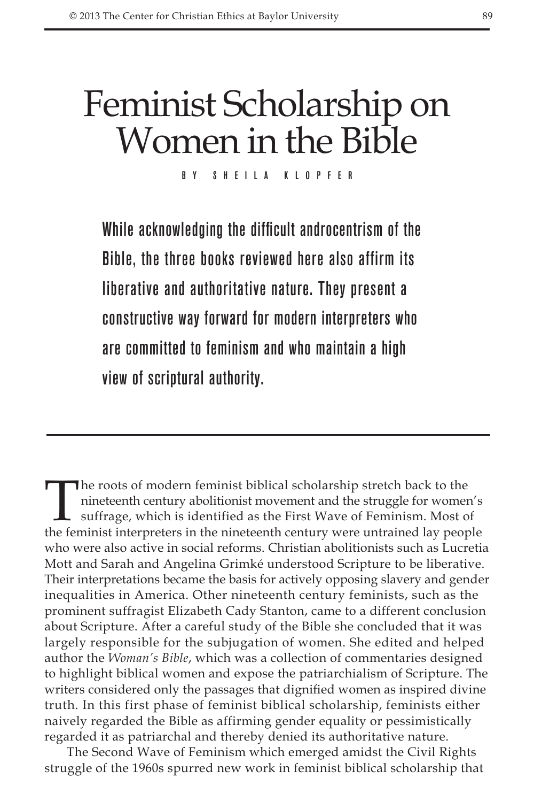## Feminist Scholarship on Women in the Bible

By Sheila Klopfer

While acknowledging the difficult androcentrism of the Bible, the three books reviewed here also affirm its liberative and authoritative nature. They present a constructive way forward for modern interpreters who are committed to feminism and who maintain a high view of scriptural authority.

The roots of modern feminist biblical scholarship stretch back to the nineteenth century abolitionist movement and the struggle for women suffrage, which is identified as the First Wave of Feminism. Most of the feminist in nineteenth century abolitionist movement and the struggle for women's suffrage, which is identified as the First Wave of Feminism. Most of the feminist interpreters in the nineteenth century were untrained lay people who were also active in social reforms. Christian abolitionists such as Lucretia Mott and Sarah and Angelina Grimké understood Scripture to be liberative. Their interpretations became the basis for actively opposing slavery and gender inequalities in America. Other nineteenth century feminists, such as the prominent suffragist Elizabeth Cady Stanton, came to a different conclusion about Scripture. After a careful study of the Bible she concluded that it was largely responsible for the subjugation of women. She edited and helped author the *Woman's Bible*, which was a collection of commentaries designed to highlight biblical women and expose the patriarchialism of Scripture. The writers considered only the passages that dignified women as inspired divine truth. In this first phase of feminist biblical scholarship, feminists either naively regarded the Bible as affirming gender equality or pessimistically regarded it as patriarchal and thereby denied its authoritative nature.

The Second Wave of Feminism which emerged amidst the Civil Rights struggle of the 1960s spurred new work in feminist biblical scholarship that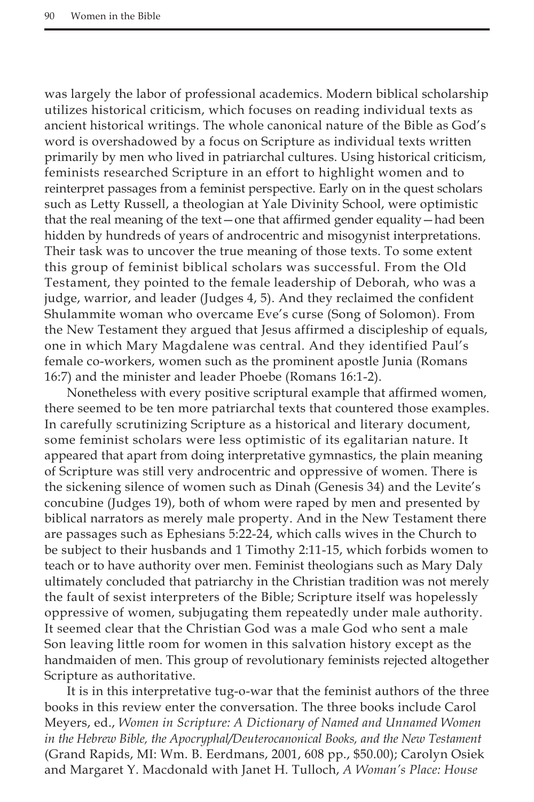was largely the labor of professional academics. Modern biblical scholarship utilizes historical criticism, which focuses on reading individual texts as ancient historical writings. The whole canonical nature of the Bible as God's word is overshadowed by a focus on Scripture as individual texts written primarily by men who lived in patriarchal cultures. Using historical criticism, feminists researched Scripture in an effort to highlight women and to reinterpret passages from a feminist perspective. Early on in the quest scholars such as Letty Russell, a theologian at Yale Divinity School, were optimistic that the real meaning of the text—one that affirmed gender equality—had been hidden by hundreds of years of androcentric and misogynist interpretations. Their task was to uncover the true meaning of those texts. To some extent this group of feminist biblical scholars was successful. From the Old Testament, they pointed to the female leadership of Deborah, who was a judge, warrior, and leader (Judges 4, 5). And they reclaimed the confident Shulammite woman who overcame Eve's curse (Song of Solomon). From the New Testament they argued that Jesus affirmed a discipleship of equals, one in which Mary Magdalene was central. And they identified Paul's female co-workers, women such as the prominent apostle Junia (Romans 16:7) and the minister and leader Phoebe (Romans 16:1-2).

Nonetheless with every positive scriptural example that affirmed women, there seemed to be ten more patriarchal texts that countered those examples. In carefully scrutinizing Scripture as a historical and literary document, some feminist scholars were less optimistic of its egalitarian nature. It appeared that apart from doing interpretative gymnastics, the plain meaning of Scripture was still very androcentric and oppressive of women. There is the sickening silence of women such as Dinah (Genesis 34) and the Levite's concubine (Judges 19), both of whom were raped by men and presented by biblical narrators as merely male property. And in the New Testament there are passages such as Ephesians 5:22-24, which calls wives in the Church to be subject to their husbands and 1 Timothy 2:11-15, which forbids women to teach or to have authority over men. Feminist theologians such as Mary Daly ultimately concluded that patriarchy in the Christian tradition was not merely the fault of sexist interpreters of the Bible; Scripture itself was hopelessly oppressive of women, subjugating them repeatedly under male authority. It seemed clear that the Christian God was a male God who sent a male Son leaving little room for women in this salvation history except as the handmaiden of men. This group of revolutionary feminists rejected altogether Scripture as authoritative.

It is in this interpretative tug-o-war that the feminist authors of the three books in this review enter the conversation. The three books include Carol Meyers, ed., *Women in Scripture: A Dictionary of Named and Unnamed Women in the Hebrew Bible, the Apocryphal/Deuterocanonical Books, and the New Testament* (Grand Rapids, MI: Wm. B. Eerdmans, 2001, 608 pp., \$50.00); Carolyn Osiek and Margaret Y. Macdonald with Janet H. Tulloch, *A Woman's Place: House*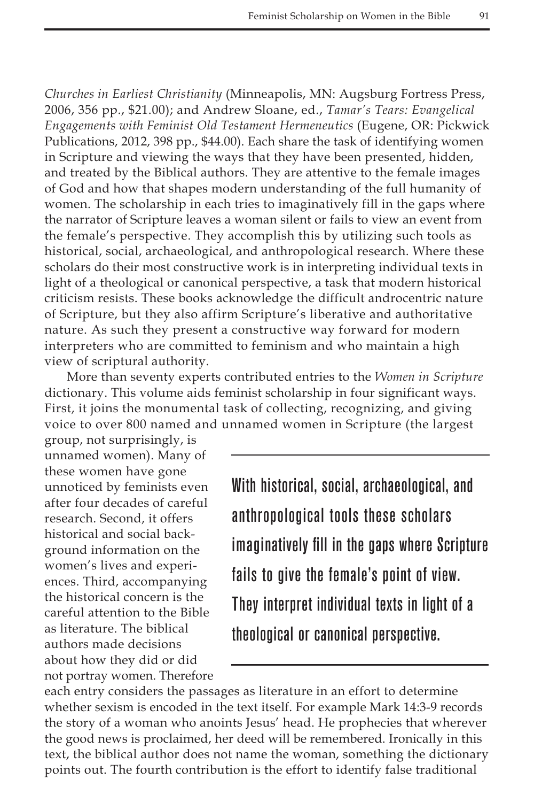*Churches in Earliest Christianity* (Minneapolis, MN: Augsburg Fortress Press, 2006, 356 pp., \$21.00); and Andrew Sloane, ed., *Tamar's Tears: Evangelical Engagements with Feminist Old Testament Hermeneutics* (Eugene, OR: Pickwick Publications, 2012, 398 pp., \$44.00). Each share the task of identifying women in Scripture and viewing the ways that they have been presented, hidden, and treated by the Biblical authors. They are attentive to the female images of God and how that shapes modern understanding of the full humanity of women. The scholarship in each tries to imaginatively fill in the gaps where the narrator of Scripture leaves a woman silent or fails to view an event from the female's perspective. They accomplish this by utilizing such tools as historical, social, archaeological, and anthropological research. Where these scholars do their most constructive work is in interpreting individual texts in light of a theological or canonical perspective, a task that modern historical criticism resists. These books acknowledge the difficult androcentric nature of Scripture, but they also affirm Scripture's liberative and authoritative nature. As such they present a constructive way forward for modern interpreters who are committed to feminism and who maintain a high view of scriptural authority.

More than seventy experts contributed entries to the *Women in Scripture* dictionary. This volume aids feminist scholarship in four significant ways. First, it joins the monumental task of collecting, recognizing, and giving voice to over 800 named and unnamed women in Scripture (the largest

group, not surprisingly, is unnamed women). Many of these women have gone unnoticed by feminists even after four decades of careful research. Second, it offers historical and social background information on the women's lives and experiences. Third, accompanying the historical concern is the careful attention to the Bible as literature. The biblical authors made decisions about how they did or did not portray women. Therefore

With historical, social, archaeological, and anthropological tools these scholars imaginatively fill in the gaps where Scripture fails to give the female's point of view. They interpret individual texts in light of a theological or canonical perspective.

each entry considers the passages as literature in an effort to determine whether sexism is encoded in the text itself. For example Mark 14:3-9 records the story of a woman who anoints Jesus' head. He prophecies that wherever the good news is proclaimed, her deed will be remembered. Ironically in this text, the biblical author does not name the woman, something the dictionary points out. The fourth contribution is the effort to identify false traditional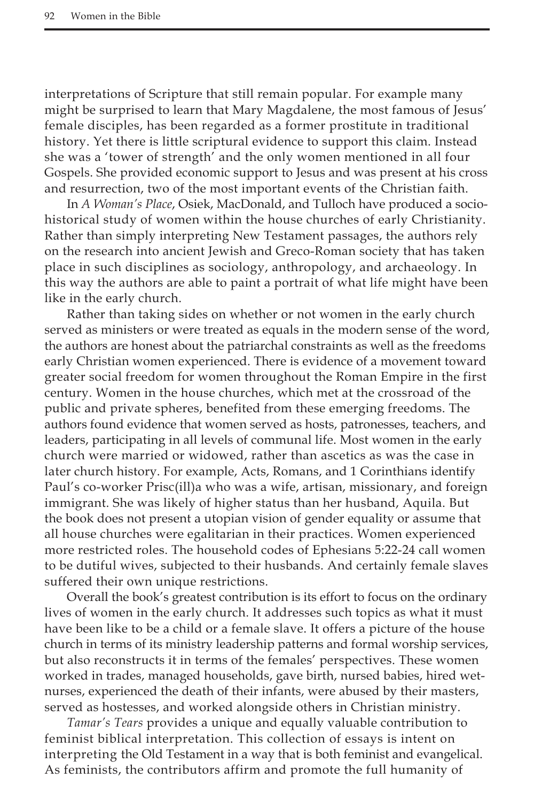interpretations of Scripture that still remain popular. For example many might be surprised to learn that Mary Magdalene, the most famous of Jesus' female disciples, has been regarded as a former prostitute in traditional history. Yet there is little scriptural evidence to support this claim. Instead she was a 'tower of strength' and the only women mentioned in all four Gospels. She provided economic support to Jesus and was present at his cross and resurrection, two of the most important events of the Christian faith.

In *A Woman's Place*, Osiek, MacDonald, and Tulloch have produced a sociohistorical study of women within the house churches of early Christianity. Rather than simply interpreting New Testament passages, the authors rely on the research into ancient Jewish and Greco-Roman society that has taken place in such disciplines as sociology, anthropology, and archaeology. In this way the authors are able to paint a portrait of what life might have been like in the early church.

Rather than taking sides on whether or not women in the early church served as ministers or were treated as equals in the modern sense of the word, the authors are honest about the patriarchal constraints as well as the freedoms early Christian women experienced. There is evidence of a movement toward greater social freedom for women throughout the Roman Empire in the first century. Women in the house churches, which met at the crossroad of the public and private spheres, benefited from these emerging freedoms. The authors found evidence that women served as hosts, patronesses, teachers, and leaders, participating in all levels of communal life. Most women in the early church were married or widowed, rather than ascetics as was the case in later church history. For example, Acts, Romans, and 1 Corinthians identify Paul's co-worker Prisc(ill)a who was a wife, artisan, missionary, and foreign immigrant. She was likely of higher status than her husband, Aquila. But the book does not present a utopian vision of gender equality or assume that all house churches were egalitarian in their practices. Women experienced more restricted roles. The household codes of Ephesians 5:22-24 call women to be dutiful wives, subjected to their husbands. And certainly female slaves suffered their own unique restrictions.

Overall the book's greatest contribution is its effort to focus on the ordinary lives of women in the early church. It addresses such topics as what it must have been like to be a child or a female slave. It offers a picture of the house church in terms of its ministry leadership patterns and formal worship services, but also reconstructs it in terms of the females' perspectives. These women worked in trades, managed households, gave birth, nursed babies, hired wetnurses, experienced the death of their infants, were abused by their masters, served as hostesses, and worked alongside others in Christian ministry.

*Tamar's Tears* provides a unique and equally valuable contribution to feminist biblical interpretation. This collection of essays is intent on interpreting the Old Testament in a way that is both feminist and evangelical. As feminists, the contributors affirm and promote the full humanity of